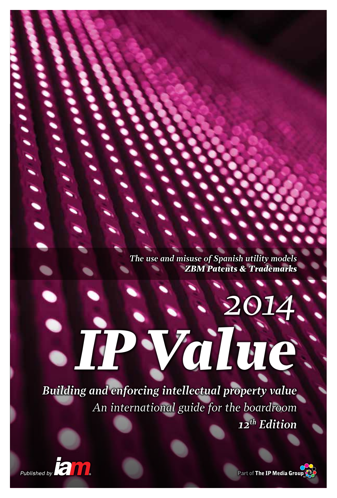*The use and misuse of Spanish utility models ZBM Patents & Trademarks*

*IP Value*

*2014*

*Building and enforcing intellectual property value An international guide for the boardroom 12th Edition*

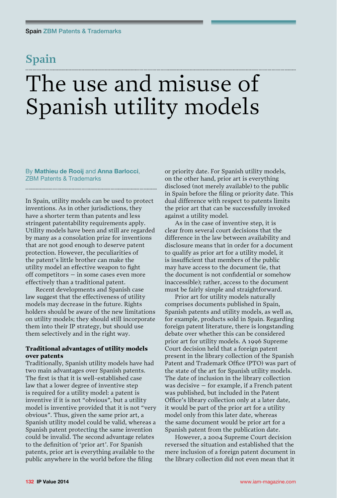## **Spain**

# The use and misuse of Spanish utility models

By **Mathieu de Rooij** and **Anna Barlocci**, ZBM Patents & Trademarks

In Spain, utility models can be used to protect inventions. As in other jurisdictions, they have a shorter term than patents and less stringent patentability requirements apply. Utility models have been and still are regarded by many as a consolation prize for inventions that are not good enough to deserve patent protection. However, the peculiarities of the patent's little brother can make the utility model an effective weapon to fight off competitors – in some cases even more effectively than a traditional patent.

Recent developments and Spanish case law suggest that the effectiveness of utility models may decrease in the future. Rights holders should be aware of the new limitations on utility models; they should still incorporate them into their IP strategy, but should use them selectively and in the right way.

#### Traditional advantages of utility models over patents

Traditionally, Spanish utility models have had two main advantages over Spanish patents. The first is that it is well-established case law that a lower degree of inventive step is required for a utility model: a patent is inventive if it is not "obvious", but a utility model is inventive provided that it is not "very obvious". Thus, given the same prior art, a Spanish utility model could be valid, whereas a Spanish patent protecting the same invention could be invalid. The second advantage relates to the definition of 'prior art'. For Spanish patents, prior art is everything available to the public anywhere in the world before the filing

or priority date. For Spanish utility models, on the other hand, prior art is everything disclosed (not merely available) to the public in Spain before the filing or priority date. This dual difference with respect to patents limits the prior art that can be successfully invoked against a utility model.

As in the case of inventive step, it is clear from several court decisions that the difference in the law between availability and disclosure means that in order for a document to qualify as prior art for a utility model, it is insufficient that members of the public may have access to the document (ie, that the document is not confidential or somehow inaccessible); rather, access to the document must be fairly simple and straightforward.

Prior art for utility models naturally comprises documents published in Spain, Spanish patents and utility models, as well as, for example, products sold in Spain. Regarding foreign patent literature, there is longstanding debate over whether this can be considered prior art for utility models. A 1996 Supreme Court decision held that a foreign patent present in the library collection of the Spanish Patent and Trademark Office (PTO) was part of the state of the art for Spanish utility models. The date of inclusion in the library collection was decisive – for example, if a French patent was published, but included in the Patent Office's library collection only at a later date, it would be part of the prior art for a utility model only from this later date, whereas the same document would be prior art for a Spanish patent from the publication date.

However, a 2004 Supreme Court decision reversed the situation and established that the mere inclusion of a foreign patent document in the library collection did not even mean that it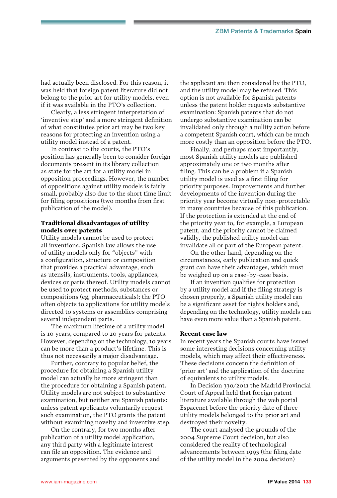had actually been disclosed. For this reason, it was held that foreign patent literature did not belong to the prior art for utility models, even if it was available in the PTO's collection.

Clearly, a less stringent interpretation of 'inventive step' and a more stringent definition of what constitutes prior art may be two key reasons for protecting an invention using a utility model instead of a patent.

In contrast to the courts, the PTO's position has generally been to consider foreign documents present in its library collection as state for the art for a utility model in opposition proceedings. However, the number of oppositions against utility models is fairly small, probably also due to the short time limit for filing oppositions (two months from first publication of the model).

#### Traditional disadvantages of utility models over patents

Utility models cannot be used to protect all inventions. Spanish law allows the use of utility models only for "objects" with a configuration, structure or composition that provides a practical advantage, such as utensils, instruments, tools, appliances, devices or parts thereof. Utility models cannot be used to protect methods, substances or compositions (eg, pharmaceuticals); the PTO often objects to applications for utility models directed to systems or assemblies comprising several independent parts.

The maximum lifetime of a utility model is 10 years, compared to 20 years for patents. However, depending on the technology, 10 years can be more than a product's lifetime. This is thus not necessarily a major disadvantage.

Further, contrary to popular belief, the procedure for obtaining a Spanish utility model can actually be more stringent than the procedure for obtaining a Spanish patent. Utility models are not subject to substantive examination, but neither are Spanish patents: unless patent applicants voluntarily request such examination, the PTO grants the patent without examining novelty and inventive step.

On the contrary, for two months after publication of a utility model application, any third party with a legitimate interest can file an opposition. The evidence and arguments presented by the opponents and the applicant are then considered by the PTO, and the utility model may be refused. This option is not available for Spanish patents unless the patent holder requests substantive examination: Spanish patents that do not undergo substantive examination can be invalidated only through a nullity action before a competent Spanish court, which can be much more costly than an opposition before the PTO.

Finally, and perhaps most importantly, most Spanish utility models are published approximately one or two months after filing. This can be a problem if a Spanish utility model is used as a first filing for priority purposes. Improvements and further developments of the invention during the priority year become virtually non-protectable in many countries because of this publication. If the protection is extended at the end of the priority year to, for example, a European patent, and the priority cannot be claimed validly, the published utility model can invalidate all or part of the European patent.

On the other hand, depending on the circumstances, early publication and quick grant can have their advantages, which must be weighed up on a case-by-case basis.

If an invention qualifies for protection by a utility model and if the filing strategy is chosen properly, a Spanish utility model can be a significant asset for rights holders and, depending on the technology, utility models can have even more value than a Spanish patent.

#### Recent case law

In recent years the Spanish courts have issued some interesting decisions concerning utility models, which may affect their effectiveness. These decisions concern the definition of 'prior art' and the application of the doctrine of equivalents to utility models.

In Decision 330/2011 the Madrid Provincial Court of Appeal held that foreign patent literature available through the web portal Espacenet before the priority date of three utility models belonged to the prior art and destroyed their novelty.

The court analysed the grounds of the 2004 Supreme Court decision, but also considered the reality of technological advancements between 1993 (the filing date of the utility model in the 2004 decision)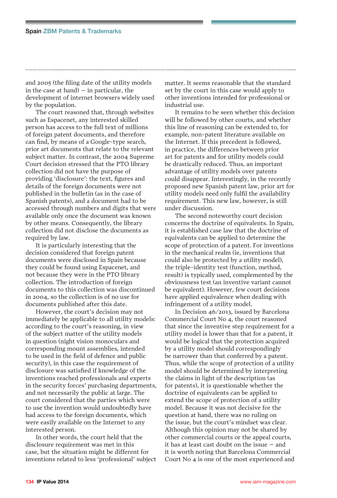and 2005 (the filing date of the utility models in the case at hand)  $-$  in particular, the development of internet browsers widely used by the population.

The court reasoned that, through websites such as Espacenet, any interested skilled person has access to the full text of millions of foreign patent documents, and therefore can find, by means of a Google-type search, prior art documents that relate to the relevant subject matter. In contrast, the 2004 Supreme Court decision stressed that the PTO library collection did not have the purpose of providing 'disclosure': the text, figures and details of the foreign documents were not published in the bulletin (as in the case of Spanish patents), and a document had to be accessed through numbers and digits that were available only once the document was known by other means. Consequently, the library collection did not disclose the documents as required by law.

It is particularly interesting that the decision considered that foreign patent documents were disclosed in Spain because they could be found using Espacenet, and not because they were in the PTO library collection. The introduction of foreign documents to this collection was discontinued in 2004, so the collection is of no use for documents published after this date.

However, the court's decision may not immediately be applicable to all utility models: according to the court's reasoning, in view of the subject matter of the utility models in question (night vision monoculars and corresponding mount assemblies, intended to be used in the field of defence and public security), in this case the requirement of disclosure was satisfied if knowledge of the inventions reached professionals and experts in the security forces' purchasing departments, and not necessarily the public at large. The court considered that the parties which were to use the invention would undoubtedly have had access to the foreign documents, which were easily available on the Internet to any interested person.

In other words, the court held that the disclosure requirement was met in this case, but the situation might be different for inventions related to less 'professional' subject matter. It seems reasonable that the standard set by the court in this case would apply to other inventions intended for professional or industrial use.

It remains to be seen whether this decision will be followed by other courts, and whether this line of reasoning can be extended to, for example, non-patent literature available on the Internet. If this precedent is followed, in practice, the differences between prior art for patents and for utility models could be drastically reduced. Thus, an important advantage of utility models over patents could disappear. Interestingly, in the recently proposed new Spanish patent law, prior art for utility models need only fulfil the availability requirement. This new law, however, is still under discussion.

The second noteworthy court decision concerns the doctrine of equivalents. In Spain, it is established case law that the doctrine of equivalents can be applied to determine the scope of protection of a patent. For inventions in the mechanical realm (ie, inventions that could also be protected by a utility model), the triple-identity test (function, method, result) is typically used, complemented by the obviousness test (an inventive variant cannot be equivalent). However, few court decisions have applied equivalence when dealing with infringement of a utility model.

In Decision 46/2013, issued by Barcelona Commercial Court No 4, the court reasoned that since the inventive step requirement for a utility model is lower than that for a patent, it would be logical that the protection acquired by a utility model should correspondingly be narrower than that conferred by a patent. Thus, while the scope of protection of a utility model should be determined by interpreting the claims in light of the description (as for patents), it is questionable whether the doctrine of equivalents can be applied to extend the scope of protection of a utility model. Because it was not decisive for the question at hand, there was no ruling on the issue, but the court's mindset was clear. Although this opinion may not be shared by other commercial courts or the appeal courts, it has at least cast doubt on the issue – and it is worth noting that Barcelona Commercial Court No 4 is one of the most experienced and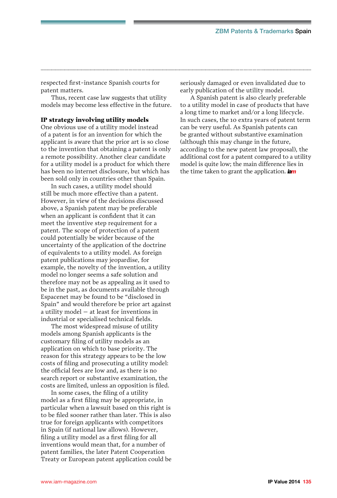respected first-instance Spanish courts for patent matters.

Thus, recent case law suggests that utility models may become less effective in the future.

#### IP strategy involving utility models

One obvious use of a utility model instead of a patent is for an invention for which the applicant is aware that the prior art is so close to the invention that obtaining a patent is only a remote possibility. Another clear candidate for a utility model is a product for which there has been no internet disclosure, but which has been sold only in countries other than Spain.

In such cases, a utility model should still be much more effective than a patent. However, in view of the decisions discussed above, a Spanish patent may be preferable when an applicant is confident that it can meet the inventive step requirement for a patent. The scope of protection of a patent could potentially be wider because of the uncertainty of the application of the doctrine of equivalents to a utility model. As foreign patent publications may jeopardise, for example, the novelty of the invention, a utility model no longer seems a safe solution and therefore may not be as appealing as it used to be in the past, as documents available through Espacenet may be found to be "disclosed in Spain" and would therefore be prior art against a utility model – at least for inventions in industrial or specialised technical fields.

The most widespread misuse of utility models among Spanish applicants is the customary filing of utility models as an application on which to base priority. The reason for this strategy appears to be the low costs of filing and prosecuting a utility model: the official fees are low and, as there is no search report or substantive examination, the costs are limited, unless an opposition is filed.

In some cases, the filing of a utility model as a first filing may be appropriate, in particular when a lawsuit based on this right is to be filed sooner rather than later. This is also true for foreign applicants with competitors in Spain (if national law allows). However, filing a utility model as a first filing for all inventions would mean that, for a number of patent families, the later Patent Cooperation Treaty or European patent application could be seriously damaged or even invalidated due to early publication of the utility model.

A Spanish patent is also clearly preferable to a utility model in case of products that have a long time to market and/or a long lifecycle. In such cases, the 10 extra years of patent term can be very useful. As Spanish patents can be granted without substantive examination (although this may change in the future, according to the new patent law proposal), the additional cost for a patent compared to a utility model is quite low; the main difference lies in the time taken to grant the application. **lam**